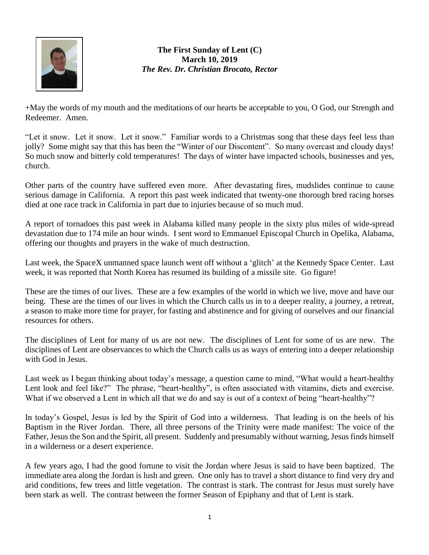

**The First Sunday of Lent (C) March 10, 2019** *The Rev. Dr. Christian Brocato, Rector*

+May the words of my mouth and the meditations of our hearts be acceptable to you, O God, our Strength and Redeemer. Amen.

"Let it snow. Let it snow. Let it snow." Familiar words to a Christmas song that these days feel less than jolly? Some might say that this has been the "Winter of our Discontent". So many overcast and cloudy days! So much snow and bitterly cold temperatures! The days of winter have impacted schools, businesses and yes, church.

Other parts of the country have suffered even more. After devastating fires, mudslides continue to cause serious damage in California. A report this past week indicated that twenty-one thorough bred racing horses died at one race track in California in part due to injuries because of so much mud.

A report of tornadoes this past week in Alabama killed many people in the sixty plus miles of wide-spread devastation due to 174 mile an hour winds. I sent word to Emmanuel Episcopal Church in Opelika, Alabama, offering our thoughts and prayers in the wake of much destruction.

Last week, the SpaceX unmanned space launch went off without a 'glitch' at the Kennedy Space Center. Last week, it was reported that North Korea has resumed its building of a missile site. Go figure!

These are the times of our lives. These are a few examples of the world in which we live, move and have our being. These are the times of our lives in which the Church calls us in to a deeper reality, a journey, a retreat, a season to make more time for prayer, for fasting and abstinence and for giving of ourselves and our financial resources for others.

The disciplines of Lent for many of us are not new. The disciplines of Lent for some of us are new. The disciplines of Lent are observances to which the Church calls us as ways of entering into a deeper relationship with God in Jesus.

Last week as I began thinking about today's message, a question came to mind, "What would a heart-healthy Lent look and feel like?" The phrase, "heart-healthy", is often associated with vitamins, diets and exercise. What if we observed a Lent in which all that we do and say is out of a context of being "heart-healthy"?

In today's Gospel, Jesus is led by the Spirit of God into a wilderness. That leading is on the heels of his Baptism in the River Jordan. There, all three persons of the Trinity were made manifest: The voice of the Father, Jesus the Son and the Spirit, all present. Suddenly and presumably without warning, Jesus finds himself in a wilderness or a desert experience.

A few years ago, I had the good fortune to visit the Jordan where Jesus is said to have been baptized. The immediate area along the Jordan is lush and green. One only has to travel a short distance to find very dry and arid conditions, few trees and little vegetation. The contrast is stark. The contrast for Jesus must surely have been stark as well. The contrast between the former Season of Epiphany and that of Lent is stark.